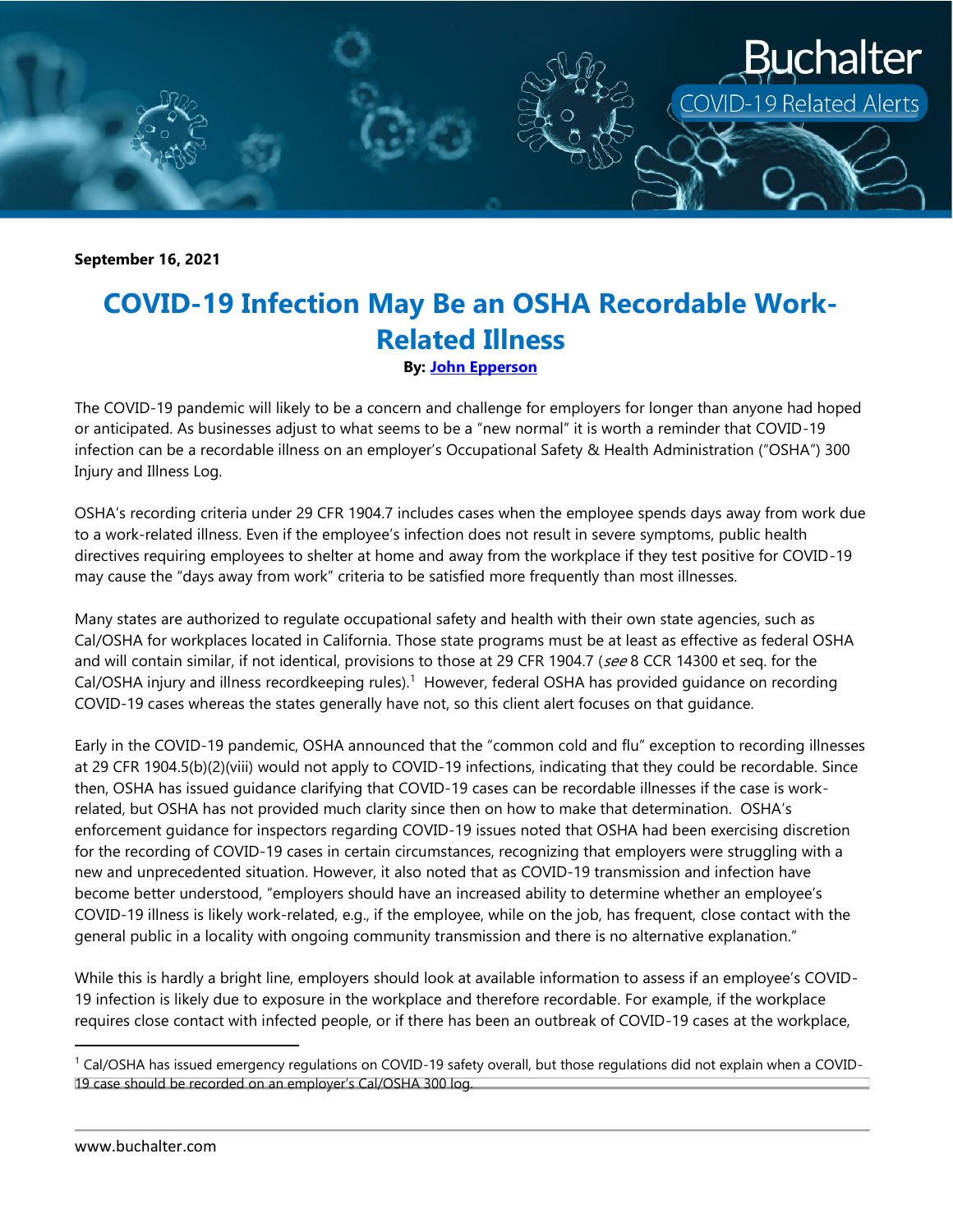

**September 16, 2021**

## **COVID-19 Infection May Be an OSHA Recordable Work-Related Illness**

**By: [John Epperson](https://www.buchalter.com/attorneys/john-epperson/#bio)**

The COVID-19 pandemic will likely to be a concern and challenge for employers for longer than anyone had hoped or anticipated. As businesses adjust to what seems to be a "new normal" it is worth a reminder that COVID-19 infection can be a recordable illness on an employer's Occupational Safety & Health Administration ("OSHA") 300 Injury and Illness Log.

OSHA's recording criteria under 29 CFR 1904.7 includes cases when the employee spends days away from work due to a work-related illness. Even if the employee's infection does not result in severe symptoms, public health directives requiring employees to shelter at home and away from the workplace if they test positive for COVID-19 may cause the "days away from work" criteria to be satisfied more frequently than most illnesses.

Many states are authorized to regulate occupational safety and health with their own state agencies, such as Cal/OSHA for workplaces located in California. Those state programs must be at least as effective as federal OSHA and will contain similar, if not identical, provisions to those at 29 CFR 1904.7 (see 8 CCR 14300 et seq. for the Cal/OSHA injury and illness recordkeeping rules).<sup>1</sup> However, federal OSHA has provided guidance on recording COVID-19 cases whereas the states generally have not, so this client alert focuses on that guidance.

Early in the COVID-19 pandemic, OSHA announced that the "common cold and flu" exception to recording illnesses at 29 CFR 1904.5(b)(2)(viii) would not apply to COVID-19 infections, indicating that they could be recordable. Since then, OSHA has issued guidance clarifying that COVID-19 cases can be recordable illnesses if the case is workrelated, but OSHA has not provided much clarity since then on how to make that determination. OSHA's enforcement guidance for inspectors regarding COVID-19 issues noted that OSHA had been exercising discretion for the recording of COVID-19 cases in certain circumstances, recognizing that employers were struggling with a new and unprecedented situation. However, it also noted that as COVID-19 transmission and infection have become better understood, "employers should have an increased ability to determine whether an employee's COVID-19 illness is likely work-related, e.g., if the employee, while on the job, has frequent, close contact with the general public in a locality with ongoing community transmission and there is no alternative explanation."

While this is hardly a bright line, employers should look at available information to assess if an employee's COVID-19 infection is likely due to exposure in the workplace and therefore recordable. For example, if the workplace requires close contact with infected people, or if there has been an outbreak of COVID-19 cases at the workplace,

l

 $1$  Cal/OSHA has issued emergency regulations on COVID-19 safety overall, but those regulations did not explain when a COVID-19 case should be recorded on an employer's Cal/OSHA 300 log.